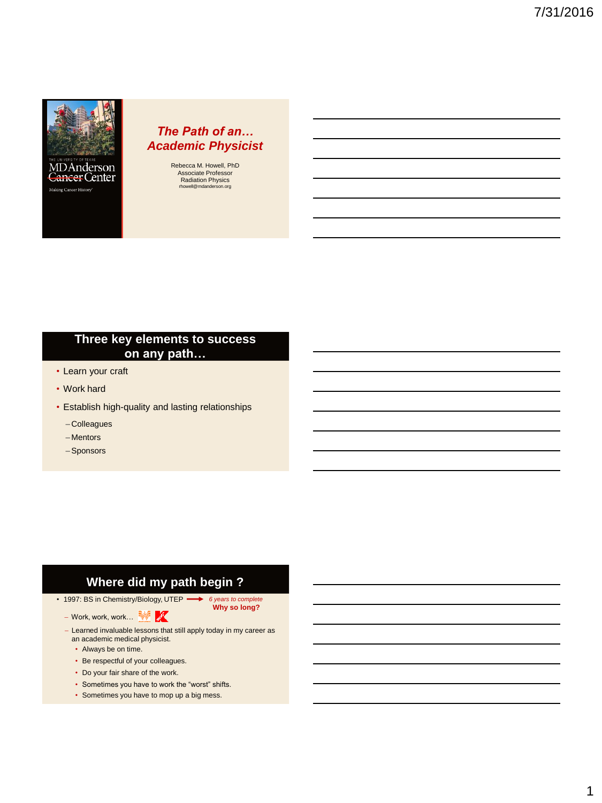

Cancer Center Making Cancer History'

## *The Path of an… Academic Physicist*

Rebecca M. Howell, PhD Associate Professor Radiation Physics<br>
mowell@mdanderson.org rhowell@mdand

## **Three key elements to success on any path…**

- Learn your craft
- Work hard
- Establish high-quality and lasting relationships
	- Colleagues
	- Mentors
	- –Sponsors

# **Where did my path begin ?**

• 1997: BS in Chemistry/Biology, UTEP *6 years to complete* **Why so long?**

- Work, work, work...
- Learned invaluable lessons that still apply today in my career as an academic medical physicist.
	- Always be on time.
	- Be respectful of your colleagues.
	- Do your fair share of the work.
	- Sometimes you have to work the "worst" shifts.
	- Sometimes you have to mop up a big mess.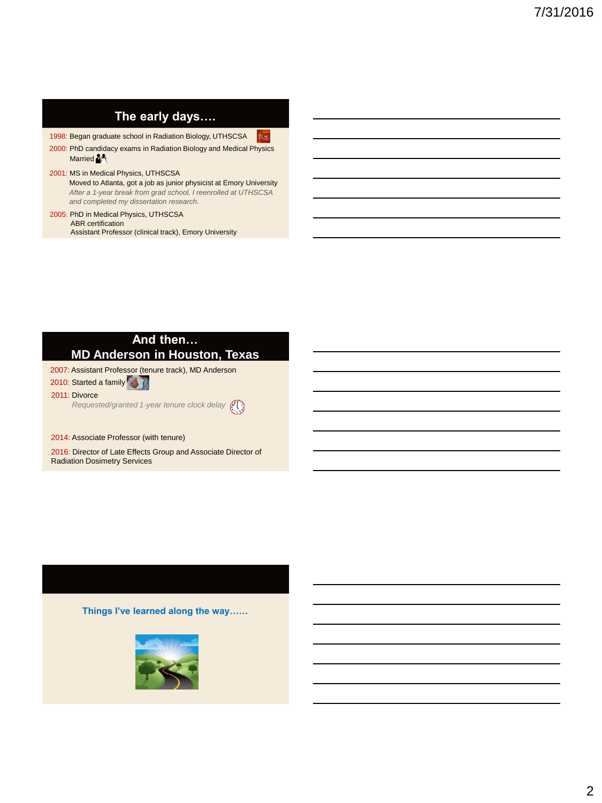| The early days |  |
|----------------|--|
|----------------|--|

1998: Began graduate school in Radiation Biology, UTHSCSA 8. r.

2000: PhD candidacy exams in Radiation Biology and Medical Physics Married<sup>34</sup>

#### 2001: MS in Medical Physics, UTHSCSA Moved to Atlanta, got a job as junior physicist at Emory University

*After a 1-year break from grad school, I reenrolled at UTHSCSA and completed my dissertation research.* 

#### 2005: PhD in Medical Physics, UTHSCSA ABR certification Assistant Professor (clinical track), Emory University

#### **And then… MD Anderson in Houston, Texas**

2007: Assistant Professor (tenure track), MD Anderson

2010: Started a family

2011: Divorce

*Requested/granted 1-year tenure clock delay*

#### 2014: Associate Professor (with tenure)

2016: Director of Late Effects Group and Associate Director of Radiation Dosimetry Services

**Things I've learned along the way……**

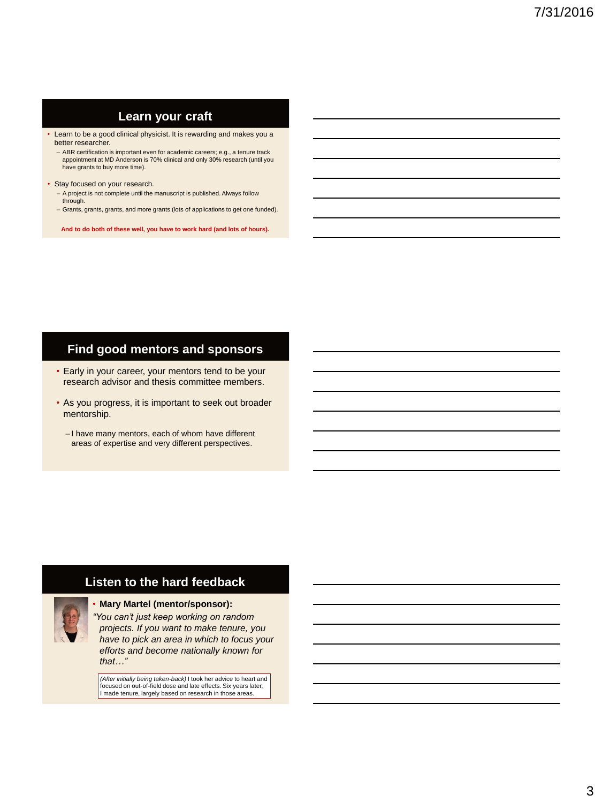#### **Learn your craft**

- Learn to be a good clinical physicist. It is rewarding and makes you a better researcher.
	- ABR certification is important even for academic careers; e.g., a tenure track appointment at MD Anderson is 70% clinical and only 30% research (until you have grants to buy more time).
- Stay focused on your research.
	- A project is not complete until the manuscript is published. Always follow through.
	- Grants, grants, grants, and more grants (lots of applications to get one funded).

**And to do both of these well, you have to work hard (and lots of hours).**

### **Find good mentors and sponsors**

- Early in your career, your mentors tend to be your research advisor and thesis committee members.
- As you progress, it is important to seek out broader mentorship.
	- I have many mentors, each of whom have different areas of expertise and very different perspectives.

## **Listen to the hard feedback**

#### • **Mary Martel (mentor/sponsor):**

*"You can't just keep working on random projects. If you want to make tenure, you have to pick an area in which to focus your efforts and become nationally known for that…"*

*(After initially being taken-back)* I took her advice to heart and focused on out-of-field dose and late effects. Six years later, I made tenure, largely based on research in those areas.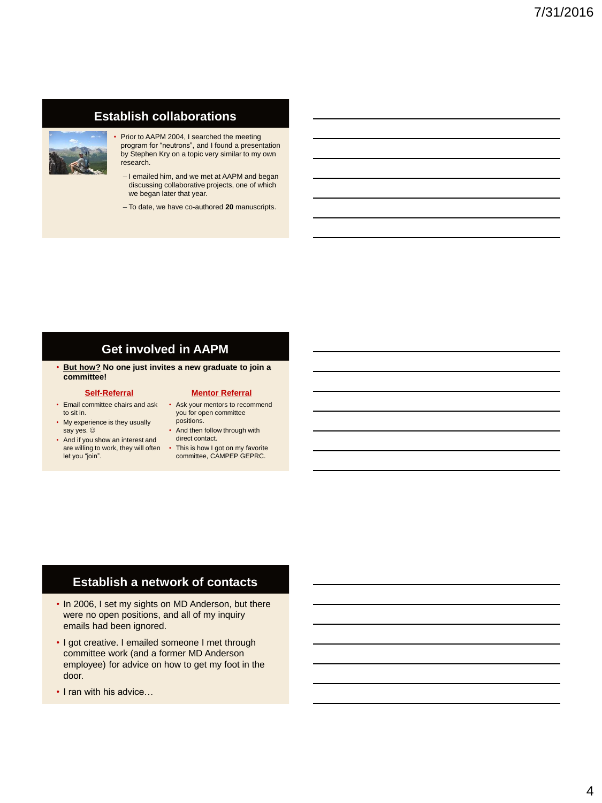## **Establish collaborations**



- Prior to AAPM 2004, I searched the meeting program for "neutrons", and I found a presentation by Stephen Kry on a topic very similar to my own research.
	- I emailed him, and we met at AAPM and began discussing collaborative projects, one of which we began later that year.
	- To date, we have co-authored **20** manuscripts.

#### **Get involved in AAPM**

• **But how? No one just invites a new graduate to join a committee!**

#### **Self-Referral**

- Email committee chairs and ask Ask your mentors to recommend to sit in.
- My experience is they usually say yes.  $\circledcirc$
- And if you show an interest and are willing to work, they will often let you "join". • This is how I got on my favorite committee, CAMPEP GEPRC.

#### **Mentor Referral**

- you for open committee positions.
- And then follow through with direct contact.
- 

## **Establish a network of contacts**

- In 2006, I set my sights on MD Anderson, but there were no open positions, and all of my inquiry emails had been ignored.
- I got creative. I emailed someone I met through committee work (and a former MD Anderson employee) for advice on how to get my foot in the door.
- I ran with his advice…